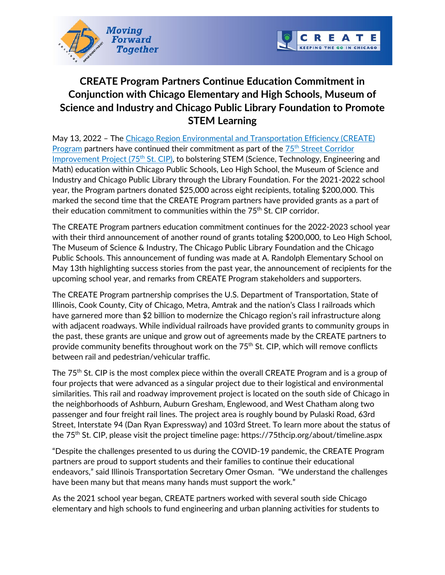



## **CREATE Program Partners Continue Education Commitment in Conjunction with Chicago Elementary and High Schools, Museum of Science and Industry and Chicago Public Library Foundation to Promote STEM Learning**

May 13, 2022 - The Chicago Region Environmental and Transportation Efficiency (CREATE) [Program](https://www.createprogram.org/) partners have continued their commitment as part of the 75<sup>th</sup> Street Corridor Improvement Project (75<sup>th</sup> St. CIP), to bolstering STEM (Science, Technology, Engineering and Math) education within Chicago Public Schools, Leo High School, the Museum of Science and Industry and Chicago Public Library through the Library Foundation. For the 2021-2022 school year, the Program partners donated \$25,000 across eight recipients, totaling \$200,000. This marked the second time that the CREATE Program partners have provided grants as a part of their education commitment to communities within the  $75<sup>th</sup>$  St. CIP corridor.

The CREATE Program partners education commitment continues for the 2022-2023 school year with their third announcement of another round of grants totaling \$200,000, to Leo High School, The Museum of Science & Industry, The Chicago Public Library Foundation and the Chicago Public Schools. This announcement of funding was made at A. Randolph Elementary School on May 13th highlighting success stories from the past year, the announcement of recipients for the upcoming school year, and remarks from CREATE Program stakeholders and supporters.

The CREATE Program partnership comprises the U.S. Department of Transportation, State of Illinois, Cook County, City of Chicago, Metra, Amtrak and the nation's Class I railroads which have garnered more than \$2 billion to modernize the Chicago region's rail infrastructure along with adjacent roadways. While individual railroads have provided grants to community groups in the past, these grants are unique and grow out of agreements made by the CREATE partners to provide community benefits throughout work on the 75<sup>th</sup> St. CIP, which will remove conflicts between rail and pedestrian/vehicular traffic.

The  $75<sup>th</sup>$  St. CIP is the most complex piece within the overall CREATE Program and is a group of four projects that were advanced as a singular project due to their logistical and environmental similarities. This rail and roadway improvement project is located on the south side of Chicago in the neighborhoods of Ashburn, Auburn Gresham, Englewood, and West Chatham along two passenger and four freight rail lines. The project area is roughly bound by Pulaski Road, 63rd Street, Interstate 94 (Dan Ryan Expressway) and 103rd Street. To learn more about the status of the 75<sup>th</sup> St. CIP, please visit the project timeline page: https://75thcip.org/about/timeline.aspx

"Despite the challenges presented to us during the COVID-19 pandemic, the CREATE Program partners are proud to support students and their families to continue their educational endeavors," said Illinois Transportation Secretary Omer Osman. "We understand the challenges have been many but that means many hands must support the work."

As the 2021 school year began, CREATE partners worked with several south side Chicago elementary and high schools to fund engineering and urban planning activities for students to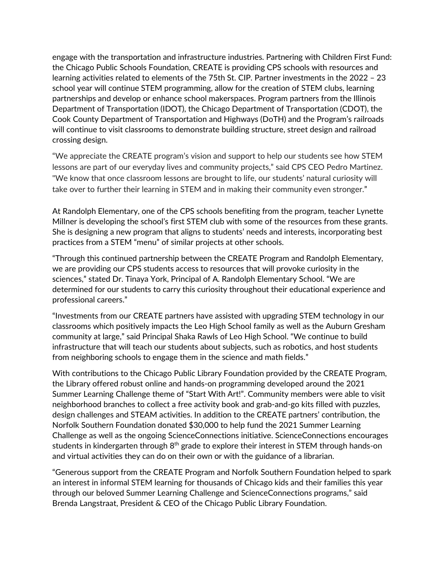engage with the transportation and infrastructure industries. Partnering with Children First Fund: the Chicago Public Schools Foundation, CREATE is providing CPS schools with resources and learning activities related to elements of the 75th St. CIP. Partner investments in the 2022 – 23 school year will continue STEM programming, allow for the creation of STEM clubs, learning partnerships and develop or enhance school makerspaces. Program partners from the Illinois Department of Transportation (IDOT), the Chicago Department of Transportation (CDOT), the Cook County Department of Transportation and Highways (DoTH) and the Program's railroads will continue to visit classrooms to demonstrate building structure, street design and railroad crossing design.

"We appreciate the CREATE program's vision and support to help our students see how STEM lessons are part of our everyday lives and community projects," said CPS CEO Pedro Martinez. "We know that once classroom lessons are brought to life, our students' natural curiosity will take over to further their learning in STEM and in making their community even stronger."

At Randolph Elementary, one of the CPS schools benefiting from the program, teacher Lynette Millner is developing the school's first STEM club with some of the resources from these grants. She is designing a new program that aligns to students' needs and interests, incorporating best practices from a STEM "menu" of similar projects at other schools.

"Through this continued partnership between the CREATE Program and Randolph Elementary, we are providing our CPS students access to resources that will provoke curiosity in the sciences," stated Dr. Tinaya York, Principal of A. Randolph Elementary School. "We are determined for our students to carry this curiosity throughout their educational experience and professional careers."

"Investments from our CREATE partners have assisted with upgrading STEM technology in our classrooms which positively impacts the Leo High School family as well as the Auburn Gresham community at large," said Principal Shaka Rawls of Leo High School. "We continue to build infrastructure that will teach our students about subjects, such as robotics, and host students from neighboring schools to engage them in the science and math fields."

With contributions to the Chicago Public Library Foundation provided by the CREATE Program, the Library offered robust online and hands-on programming developed around the 2021 Summer Learning Challenge theme of "Start With Art!". Community members were able to visit neighborhood branches to collect a free activity book and grab-and-go kits filled with puzzles, design challenges and STEAM activities. In addition to the CREATE partners' contribution, the Norfolk Southern Foundation donated \$30,000 to help fund the 2021 Summer Learning Challenge as well as the ongoing ScienceConnections initiative. ScienceConnections encourages students in kindergarten through  $8<sup>th</sup>$  grade to explore their interest in STEM through hands-on and virtual activities they can do on their own or with the guidance of a librarian.

"Generous support from the CREATE Program and Norfolk Southern Foundation helped to spark an interest in informal STEM learning for thousands of Chicago kids and their families this year through our beloved Summer Learning Challenge and ScienceConnections programs," said Brenda Langstraat, President & CEO of the Chicago Public Library Foundation.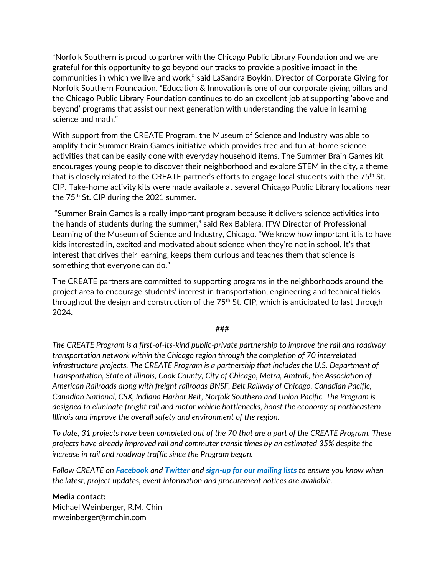"Norfolk Southern is proud to partner with the Chicago Public Library Foundation and we are grateful for this opportunity to go beyond our tracks to provide a positive impact in the communities in which we live and work," said LaSandra Boykin, Director of Corporate Giving for Norfolk Southern Foundation. "Education & Innovation is one of our corporate giving pillars and the Chicago Public Library Foundation continues to do an excellent job at supporting 'above and beyond' programs that assist our next generation with understanding the value in learning science and math."

With support from the CREATE Program, the Museum of Science and Industry was able to amplify their Summer Brain Games initiative which provides free and fun at-home science activities that can be easily done with everyday household items. The Summer Brain Games kit encourages young people to discover their neighborhood and explore STEM in the city, a theme that is closely related to the CREATE partner's efforts to engage local students with the  $75<sup>th</sup>$  St. CIP. Take-home activity kits were made available at several Chicago Public Library locations near the  $75<sup>th</sup>$  St. CIP during the 2021 summer.

"Summer Brain Games is a really important program because it delivers science activities into the hands of students during the summer," said Rex Babiera, ITW Director of Professional Learning of the Museum of Science and Industry, Chicago. "We know how important it is to have kids interested in, excited and motivated about science when they're not in school. It's that interest that drives their learning, keeps them curious and teaches them that science is something that everyone can do."

The CREATE partners are committed to supporting programs in the neighborhoods around the project area to encourage students' interest in transportation, engineering and technical fields throughout the design and construction of the  $75<sup>th</sup>$  St. CIP, which is anticipated to last through 2024.

## ###

*The CREATE Program is a first-of-its-kind public-private partnership to improve the rail and roadway transportation network within the Chicago region through the completion of 70 interrelated infrastructure projects. The CREATE Program is a partnership that includes the U.S. Department of Transportation, State of Illinois, Cook County, City of Chicago, Metra, Amtrak, the Association of American Railroads along with freight railroads BNSF, Belt Railway of Chicago, Canadian Pacific, Canadian National, CSX, Indiana Harbor Belt, Norfolk Southern and Union Pacific. The Program is designed to eliminate freight rail and motor vehicle bottlenecks, boost the economy of northeastern Illinois and improve the overall safety and environment of the region.* 

*To date, 31 projects have been completed out of the 70 that are a part of the CREATE Program. These projects have already improved rail and commuter transit times by an estimated 35% despite the increase in rail and roadway traffic since the Program began.*

*Follow CREATE on [Facebook](https://www.facebook.com/CREATEProgramChicago/) and [Twitter](https://twitter.com/CREATE_Chicago) and [sign-up for our mailing lists](https://visitor.r20.constantcontact.com/manage/optin?v=001D5z3cl58IfCgLzUR5QqTAahfHf7UpTsJ7YZgNd9CnUwg9Ejln6hSKfB2zuulyq2Hxu2P6CPJv_yEST--kG05HUkKyyM1Ozt2Q7ITqCLUILo%3D) to ensure you know when the latest, project updates, event information and procurement notices are available.* 

## **Media contact:**

Michael Weinberger, R.M. Chin mweinberger@rmchin.com